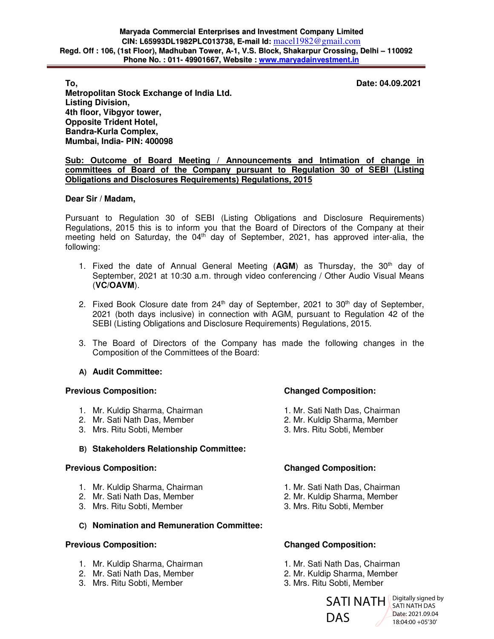**To, Date: 04.09.2021** 

**Metropolitan Stock Exchange of India Ltd. Listing Division, 4th floor, Vibgyor tower, Opposite Trident Hotel, Bandra-Kurla Complex, Mumbai, India- PIN: 400098** 

### **Sub: Outcome of Board Meeting / Announcements and Intimation of change in committees of Board of the Company pursuant to Regulation 30 of SEBI (Listing Obligations and Disclosures Requirements) Regulations, 2015**

# **Dear Sir / Madam,**

Pursuant to Regulation 30 of SEBI (Listing Obligations and Disclosure Requirements) Regulations, 2015 this is to inform you that the Board of Directors of the Company at their meeting held on Saturday, the  $04<sup>th</sup>$  day of September, 2021, has approved inter-alia, the following:

- 1. Fixed the date of Annual General Meeting (**AGM**) as Thursday, the 30th day of September, 2021 at 10:30 a.m. through video conferencing / Other Audio Visual Means (**VC/OAVM**).
- 2. Fixed Book Closure date from  $24<sup>th</sup>$  day of September, 2021 to 30<sup>th</sup> day of September, 2021 (both days inclusive) in connection with AGM, pursuant to Regulation 42 of the SEBI (Listing Obligations and Disclosure Requirements) Regulations, 2015.
- 3. The Board of Directors of the Company has made the following changes in the Composition of the Committees of the Board:

# **A) Audit Committee:**

### **Previous Composition: Changed Composition:**

- 1. Mr. Kuldip Sharma, Chairman 1. Mr. Sati Nath Das, Chairman
- 
- 

# **B) Stakeholders Relationship Committee:**

### **Previous Composition: Changed Composition:**

- 1. Mr. Kuldip Sharma, Chairman 1. Mr. Sati Nath Das, Chairman
- 2. Mr. Sati Nath Das, Member 2. Mr. Kuldip Sharma, Member
- 3. Mrs. Ritu Sobti, Member 3. Mrs. Ritu Sobti, Member

# **C) Nomination and Remuneration Committee:**

### **Previous Composition: Changed Composition:**

- 1. Mr. Kuldip Sharma, Chairman 1. Mr. Sati Nath Das, Chairman
- 
- 3. Mrs. Ritu Sobti, Member 3. Mrs. Ritu Sobti, Member

- 
- 2. Mr. Sati Nath Das, Member 2. Mr. Kuldip Sharma, Member
- 3. Mrs. Ritu Sobti, Member 3. Mrs. Ritu Sobti, Member

- 
- 
- 

- 
- 2. Mr. Sati Nath Das, Member 2. Mr. Kuldip Sharma, Member
	-